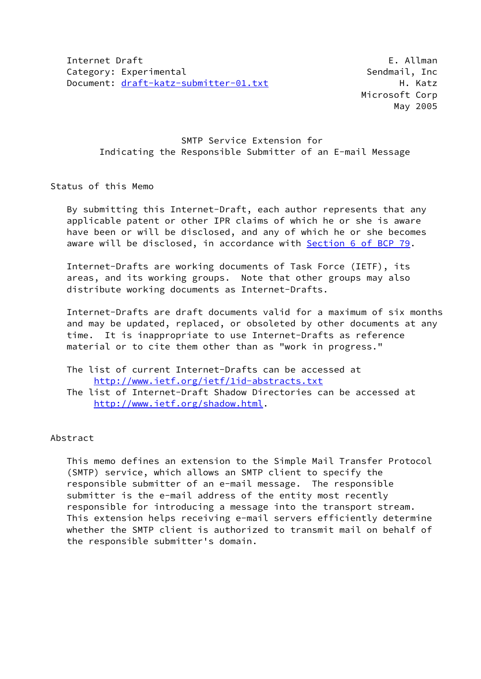Microsoft Corp May 2005

# SMTP Service Extension for Indicating the Responsible Submitter of an E-mail Message

## Status of this Memo

 By submitting this Internet-Draft, each author represents that any applicable patent or other IPR claims of which he or she is aware have been or will be disclosed, and any of which he or she becomes aware will be disclosed, in accordance with Section [6 of BCP 79.](https://datatracker.ietf.org/doc/pdf/bcp79#section-6)

 Internet-Drafts are working documents of Task Force (IETF), its areas, and its working groups. Note that other groups may also distribute working documents as Internet-Drafts.

 Internet-Drafts are draft documents valid for a maximum of six months and may be updated, replaced, or obsoleted by other documents at any time. It is inappropriate to use Internet-Drafts as reference material or to cite them other than as "work in progress."

- The list of current Internet-Drafts can be accessed at <http://www.ietf.org/ietf/1id-abstracts.txt>
- The list of Internet-Draft Shadow Directories can be accessed at <http://www.ietf.org/shadow.html>.

## Abstract

 This memo defines an extension to the Simple Mail Transfer Protocol (SMTP) service, which allows an SMTP client to specify the responsible submitter of an e-mail message. The responsible submitter is the e-mail address of the entity most recently responsible for introducing a message into the transport stream. This extension helps receiving e-mail servers efficiently determine whether the SMTP client is authorized to transmit mail on behalf of the responsible submitter's domain.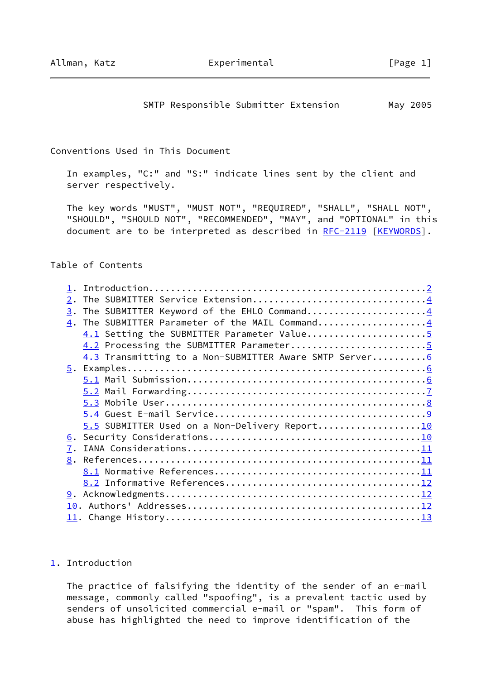## SMTP Responsible Submitter Extension May 2005

#### <span id="page-1-1"></span>Conventions Used in This Document

 In examples, "C:" and "S:" indicate lines sent by the client and server respectively.

 The key words "MUST", "MUST NOT", "REQUIRED", "SHALL", "SHALL NOT", "SHOULD", "SHOULD NOT", "RECOMMENDED", "MAY", and "OPTIONAL" in this document are to be interpreted as described in [RFC-2119](https://datatracker.ietf.org/doc/pdf/rfc2119) [\[KEYWORDS](#page-11-0)].

## Table of Contents

| $\overline{2}$ .                                        |  |
|---------------------------------------------------------|--|
| The SUBMITTER Keyword of the EHLO Command4<br>3.        |  |
| The SUBMITTER Parameter of the MAIL Command4<br>4.      |  |
| 4.1 Setting the SUBMITTER Parameter Value5              |  |
|                                                         |  |
| 4.3 Transmitting to a Non-SUBMITTER Aware SMTP Server 6 |  |
|                                                         |  |
|                                                         |  |
|                                                         |  |
|                                                         |  |
|                                                         |  |
| 5.5 SUBMITTER Used on a Non-Delivery Report10           |  |
|                                                         |  |
| 7.                                                      |  |
| 8.                                                      |  |
|                                                         |  |
|                                                         |  |
|                                                         |  |
|                                                         |  |
|                                                         |  |
|                                                         |  |

## <span id="page-1-0"></span>[1](#page-1-0). Introduction

 The practice of falsifying the identity of the sender of an e-mail message, commonly called "spoofing", is a prevalent tactic used by senders of unsolicited commercial e-mail or "spam". This form of abuse has highlighted the need to improve identification of the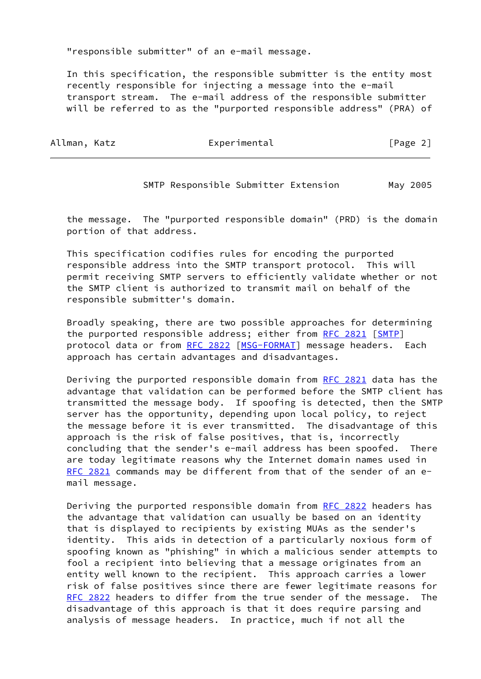"responsible submitter" of an e-mail message.

 In this specification, the responsible submitter is the entity most recently responsible for injecting a message into the e-mail transport stream. The e-mail address of the responsible submitter will be referred to as the "purported responsible address" (PRA) of

| Allman,<br>Katz |  |
|-----------------|--|
|-----------------|--|

Experimental [Page 2]

SMTP Responsible Submitter Extension May 2005

 the message. The "purported responsible domain" (PRD) is the domain portion of that address.

 This specification codifies rules for encoding the purported responsible address into the SMTP transport protocol. This will permit receiving SMTP servers to efficiently validate whether or not the SMTP client is authorized to transmit mail on behalf of the responsible submitter's domain.

 Broadly speaking, there are two possible approaches for determining the purported responsible address; either from [RFC 2821](https://datatracker.ietf.org/doc/pdf/rfc2821) [\[SMTP](#page-12-4)] protocol data or from [RFC 2822](https://datatracker.ietf.org/doc/pdf/rfc2822) [\[MSG-FORMAT](#page-11-5)] message headers. Each approach has certain advantages and disadvantages.

 Deriving the purported responsible domain from [RFC 2821](https://datatracker.ietf.org/doc/pdf/rfc2821) data has the advantage that validation can be performed before the SMTP client has transmitted the message body. If spoofing is detected, then the SMTP server has the opportunity, depending upon local policy, to reject the message before it is ever transmitted. The disadvantage of this approach is the risk of false positives, that is, incorrectly concluding that the sender's e-mail address has been spoofed. There are today legitimate reasons why the Internet domain names used in [RFC 2821](https://datatracker.ietf.org/doc/pdf/rfc2821) commands may be different from that of the sender of an email message.

Deriving the purported responsible domain from [RFC 2822](https://datatracker.ietf.org/doc/pdf/rfc2822) headers has the advantage that validation can usually be based on an identity that is displayed to recipients by existing MUAs as the sender's identity. This aids in detection of a particularly noxious form of spoofing known as "phishing" in which a malicious sender attempts to fool a recipient into believing that a message originates from an entity well known to the recipient. This approach carries a lower risk of false positives since there are fewer legitimate reasons for [RFC 2822](https://datatracker.ietf.org/doc/pdf/rfc2822) headers to differ from the true sender of the message. The disadvantage of this approach is that it does require parsing and analysis of message headers. In practice, much if not all the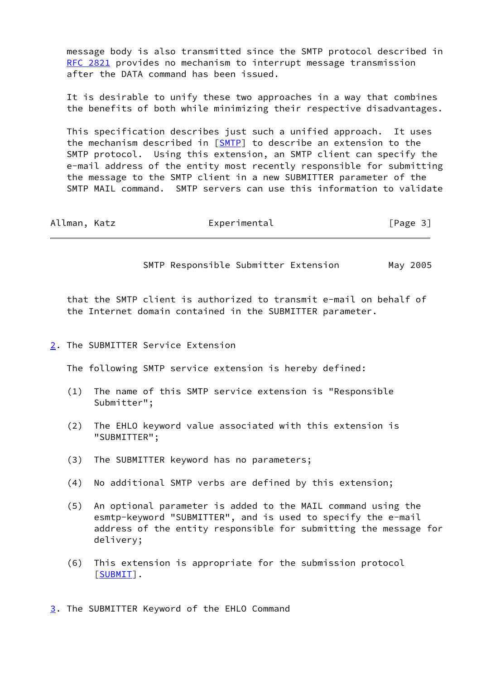message body is also transmitted since the SMTP protocol described in [RFC 2821](https://datatracker.ietf.org/doc/pdf/rfc2821) provides no mechanism to interrupt message transmission after the DATA command has been issued.

 It is desirable to unify these two approaches in a way that combines the benefits of both while minimizing their respective disadvantages.

 This specification describes just such a unified approach. It uses the mechanism described in [[SMTP\]](#page-12-4) to describe an extension to the SMTP protocol. Using this extension, an SMTP client can specify the e-mail address of the entity most recently responsible for submitting the message to the SMTP client in a new SUBMITTER parameter of the SMTP MAIL command. SMTP servers can use this information to validate

<span id="page-3-1"></span>

| Allman, Katz | Experimental | [Page 3] |
|--------------|--------------|----------|
|              |              |          |

SMTP Responsible Submitter Extension May 2005

 that the SMTP client is authorized to transmit e-mail on behalf of the Internet domain contained in the SUBMITTER parameter.

## <span id="page-3-0"></span>[2](#page-3-0). The SUBMITTER Service Extension

The following SMTP service extension is hereby defined:

- (1) The name of this SMTP service extension is "Responsible Submitter";
- (2) The EHLO keyword value associated with this extension is "SUBMITTER";
- (3) The SUBMITTER keyword has no parameters;
- (4) No additional SMTP verbs are defined by this extension;
- (5) An optional parameter is added to the MAIL command using the esmtp-keyword "SUBMITTER", and is used to specify the e-mail address of the entity responsible for submitting the message for delivery;
- (6) This extension is appropriate for the submission protocol [\[SUBMIT](#page-12-5)].

<span id="page-3-2"></span>[3](#page-3-2). The SUBMITTER Keyword of the EHLO Command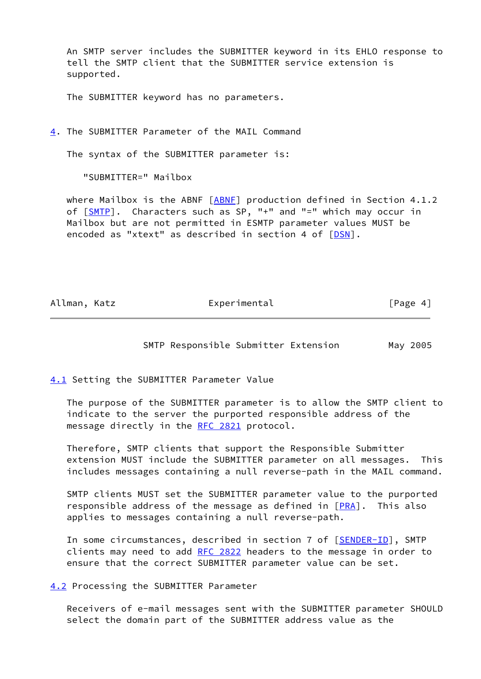An SMTP server includes the SUBMITTER keyword in its EHLO response to tell the SMTP client that the SUBMITTER service extension is supported.

The SUBMITTER keyword has no parameters.

<span id="page-4-0"></span>[4](#page-4-0). The SUBMITTER Parameter of the MAIL Command

The syntax of the SUBMITTER parameter is:

"SUBMITTER=" Mailbox

where Mailbox is the ABNF  $[ABNF]$  $[ABNF]$  production defined in Section 4.1.2 of [[SMTP\]](#page-12-4). Characters such as SP, "+" and "=" which may occur in Mailbox but are not permitted in ESMTP parameter values MUST be encoded as "xtext" as described in section 4 of [\[DSN](#page-11-7)].

<span id="page-4-2"></span>Allman, Katz **Experimental** Experimental [Page 4]

SMTP Responsible Submitter Extension May 2005

<span id="page-4-1"></span>[4.1](#page-4-1) Setting the SUBMITTER Parameter Value

 The purpose of the SUBMITTER parameter is to allow the SMTP client to indicate to the server the purported responsible address of the message directly in the [RFC 2821](https://datatracker.ietf.org/doc/pdf/rfc2821) protocol.

 Therefore, SMTP clients that support the Responsible Submitter extension MUST include the SUBMITTER parameter on all messages. This includes messages containing a null reverse-path in the MAIL command.

 SMTP clients MUST set the SUBMITTER parameter value to the purported responsible address of the message as defined in  $[PRA]$  $[PRA]$ . This also applies to messages containing a null reverse-path.

In some circumstances, described in section 7 of [\[SENDER-ID\]](#page-11-9), SMTP clients may need to add [RFC 2822](https://datatracker.ietf.org/doc/pdf/rfc2822) headers to the message in order to ensure that the correct SUBMITTER parameter value can be set.

<span id="page-4-3"></span>[4.2](#page-4-3) Processing the SUBMITTER Parameter

 Receivers of e-mail messages sent with the SUBMITTER parameter SHOULD select the domain part of the SUBMITTER address value as the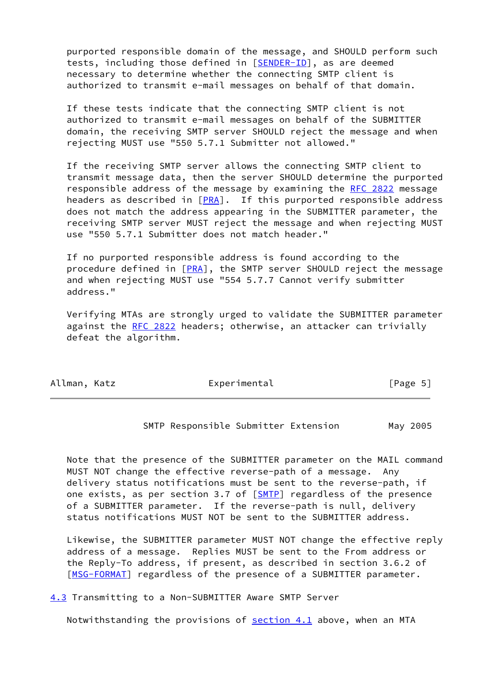purported responsible domain of the message, and SHOULD perform such tests, including those defined in [[SENDER-ID\]](#page-11-9), as are deemed necessary to determine whether the connecting SMTP client is authorized to transmit e-mail messages on behalf of that domain.

 If these tests indicate that the connecting SMTP client is not authorized to transmit e-mail messages on behalf of the SUBMITTER domain, the receiving SMTP server SHOULD reject the message and when rejecting MUST use "550 5.7.1 Submitter not allowed."

 If the receiving SMTP server allows the connecting SMTP client to transmit message data, then the server SHOULD determine the purported responsible address of the message by examining the [RFC 2822](https://datatracker.ietf.org/doc/pdf/rfc2822) message headers as described in  $[PRA]$  $[PRA]$ . If this purported responsible address does not match the address appearing in the SUBMITTER parameter, the receiving SMTP server MUST reject the message and when rejecting MUST use "550 5.7.1 Submitter does not match header."

 If no purported responsible address is found according to the procedure defined in [\[PRA](#page-11-8)], the SMTP server SHOULD reject the message and when rejecting MUST use "554 5.7.7 Cannot verify submitter address."

 Verifying MTAs are strongly urged to validate the SUBMITTER parameter against the [RFC 2822](https://datatracker.ietf.org/doc/pdf/rfc2822) headers; otherwise, an attacker can trivially defeat the algorithm.

<span id="page-5-1"></span>

| Allman, Katz | Experimental | [Page 5] |
|--------------|--------------|----------|
|--------------|--------------|----------|

SMTP Responsible Submitter Extension May 2005

 Note that the presence of the SUBMITTER parameter on the MAIL command MUST NOT change the effective reverse-path of a message. Any delivery status notifications must be sent to the reverse-path, if one exists, as per section 3.7 of [[SMTP\]](#page-12-4) regardless of the presence of a SUBMITTER parameter. If the reverse-path is null, delivery status notifications MUST NOT be sent to the SUBMITTER address.

 Likewise, the SUBMITTER parameter MUST NOT change the effective reply address of a message. Replies MUST be sent to the From address or the Reply-To address, if present, as described in section 3.6.2 of [\[MSG-FORMAT\]](#page-11-5) regardless of the presence of a SUBMITTER parameter.

<span id="page-5-0"></span>[4.3](#page-5-0) Transmitting to a Non-SUBMITTER Aware SMTP Server

Notwithstanding the provisions of **section 4.1** above, when an MTA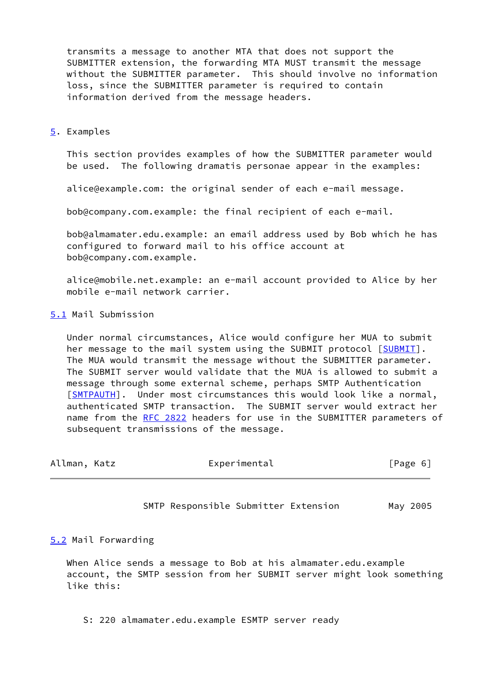transmits a message to another MTA that does not support the SUBMITTER extension, the forwarding MTA MUST transmit the message without the SUBMITTER parameter. This should involve no information loss, since the SUBMITTER parameter is required to contain information derived from the message headers.

#### <span id="page-6-0"></span>[5](#page-6-0). Examples

 This section provides examples of how the SUBMITTER parameter would be used. The following dramatis personae appear in the examples:

alice@example.com: the original sender of each e-mail message.

bob@company.com.example: the final recipient of each e-mail.

 bob@almamater.edu.example: an email address used by Bob which he has configured to forward mail to his office account at bob@company.com.example.

 alice@mobile.net.example: an e-mail account provided to Alice by her mobile e-mail network carrier.

### <span id="page-6-1"></span>[5.1](#page-6-1) Mail Submission

 Under normal circumstances, Alice would configure her MUA to submit her message to the mail system using the SUBMIT protocol [\[SUBMIT](#page-12-5)]. The MUA would transmit the message without the SUBMITTER parameter. The SUBMIT server would validate that the MUA is allowed to submit a message through some external scheme, perhaps SMTP Authentication [\[SMTPAUTH](#page-12-6)]. Under most circumstances this would look like a normal, authenticated SMTP transaction. The SUBMIT server would extract her name from the [RFC 2822](https://datatracker.ietf.org/doc/pdf/rfc2822) headers for use in the SUBMITTER parameters of subsequent transmissions of the message.

<span id="page-6-3"></span>

| Allman, Katz | Experimental | [Page 6] |
|--------------|--------------|----------|
|              |              |          |

SMTP Responsible Submitter Extension May 2005

## <span id="page-6-2"></span>[5.2](#page-6-2) Mail Forwarding

 When Alice sends a message to Bob at his almamater.edu.example account, the SMTP session from her SUBMIT server might look something like this:

S: 220 almamater.edu.example ESMTP server ready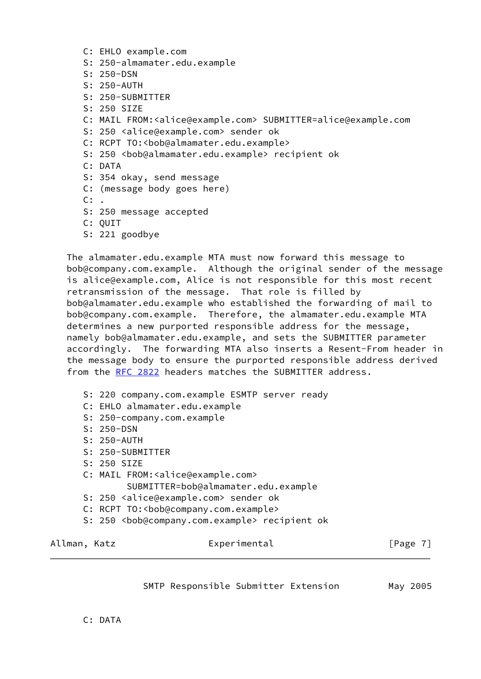- C: EHLO example.com
- S: 250-almamater.edu.example
- S: 250-DSN
- S: 250-AUTH
- S: 250-SUBMITTER
- S: 250 SIZE
- C: MAIL FROM:<alice@example.com> SUBMITTER=alice@example.com
- S: 250 <alice@example.com> sender ok
- C: RCPT TO: < bob@almamater.edu.example>
- S: 250 <book@almamater.edu.example> recipient ok
- C: DATA
- S: 354 okay, send message
- C: (message body goes here)
- $C:$  .
- S: 250 message accepted
- C: QUIT
- S: 221 goodbye

 The almamater.edu.example MTA must now forward this message to bob@company.com.example. Although the original sender of the message is alice@example.com, Alice is not responsible for this most recent retransmission of the message. That role is filled by bob@almamater.edu.example who established the forwarding of mail to bob@company.com.example. Therefore, the almamater.edu.example MTA determines a new purported responsible address for the message, namely bob@almamater.edu.example, and sets the SUBMITTER parameter accordingly. The forwarding MTA also inserts a Resent-From header in the message body to ensure the purported responsible address derived from the [RFC 2822](https://datatracker.ietf.org/doc/pdf/rfc2822) headers matches the SUBMITTER address.

- S: 220 company.com.example ESMTP server ready
- C: EHLO almamater.edu.example
- S: 250-company.com.example
- S: 250-DSN
- S: 250-AUTH
- S: 250-SUBMITTER
- S: 250 SIZE
- C: MAIL FROM:<alice@example.com> SUBMITTER=bob@almamater.edu.example
- S: 250 <alice@example.com> sender ok
- C: RCPT TO:<bob@company.com.example>
- S: 250 <bob@company.com.example> recipient ok

<span id="page-7-0"></span>Allman, Katz **Experimental** Experimental [Page 7]

SMTP Responsible Submitter Extension May 2005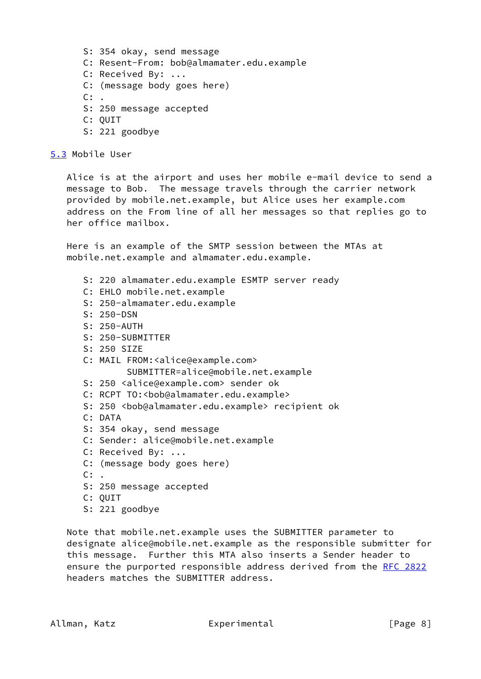S: 354 okay, send message C: Resent-From: bob@almamater.edu.example C: Received By: ... C: (message body goes here)  $C:$ . S: 250 message accepted C: QUIT S: 221 goodbye

<span id="page-8-0"></span>[5.3](#page-8-0) Mobile User

 Alice is at the airport and uses her mobile e-mail device to send a message to Bob. The message travels through the carrier network provided by mobile.net.example, but Alice uses her example.com address on the From line of all her messages so that replies go to her office mailbox.

 Here is an example of the SMTP session between the MTAs at mobile.net.example and almamater.edu.example.

- S: 220 almamater.edu.example ESMTP server ready
- C: EHLO mobile.net.example
- S: 250-almamater.edu.example
- S: 250-DSN
- S: 250-AUTH
- S: 250-SUBMITTER
- S: 250 SIZE
- C: MAIL FROM:<alice@example.com> SUBMITTER=alice@mobile.net.example
- S: 250 <alice@example.com> sender ok
- C: RCPT TO:<bob@almamater.edu.example>
- S: 250 <bob@almamater.edu.example> recipient ok
- C: DATA
- S: 354 okay, send message
- C: Sender: alice@mobile.net.example
- C: Received By: ...
- C: (message body goes here)
- $C:$  .
- S: 250 message accepted
- C: QUIT

 Note that mobile.net.example uses the SUBMITTER parameter to designate alice@mobile.net.example as the responsible submitter for this message. Further this MTA also inserts a Sender header to ensure the purported responsible address derived from the [RFC 2822](https://datatracker.ietf.org/doc/pdf/rfc2822) headers matches the SUBMITTER address.

S: 221 goodbye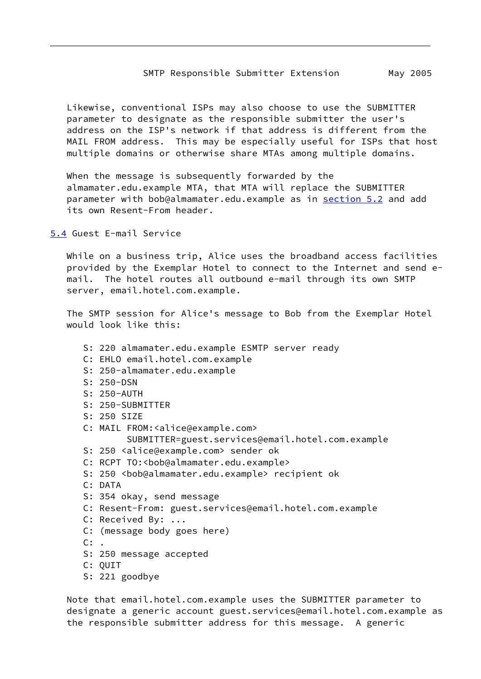#### SMTP Responsible Submitter Extension May 2005

<span id="page-9-1"></span> Likewise, conventional ISPs may also choose to use the SUBMITTER parameter to designate as the responsible submitter the user's address on the ISP's network if that address is different from the MAIL FROM address. This may be especially useful for ISPs that host multiple domains or otherwise share MTAs among multiple domains.

 When the message is subsequently forwarded by the almamater.edu.example MTA, that MTA will replace the SUBMITTER parameter with bob@almamater.edu.example as in [section 5.2](#page-6-2) and add its own Resent-From header.

<span id="page-9-0"></span>[5.4](#page-9-0) Guest E-mail Service

 While on a business trip, Alice uses the broadband access facilities provided by the Exemplar Hotel to connect to the Internet and send e mail. The hotel routes all outbound e-mail through its own SMTP server, email.hotel.com.example.

 The SMTP session for Alice's message to Bob from the Exemplar Hotel would look like this:

 S: 220 almamater.edu.example ESMTP server ready C: EHLO email.hotel.com.example S: 250-almamater.edu.example S: 250-DSN S: 250-AUTH S: 250-SUBMITTER S: 250 SIZE C: MAIL FROM:<alice@example.com> SUBMITTER=guest.services@email.hotel.com.example S: 250 <alice@example.com> sender ok C: RCPT TO:<bob@almamater.edu.example> S: 250 <bob@almamater.edu.example> recipient ok C: DATA S: 354 okay, send message C: Resent-From: guest.services@email.hotel.com.example C: Received By: ... C: (message body goes here)  $C:$ . S: 250 message accepted C: QUIT S: 221 goodbye

 Note that email.hotel.com.example uses the SUBMITTER parameter to designate a generic account guest.services@email.hotel.com.example as the responsible submitter address for this message. A generic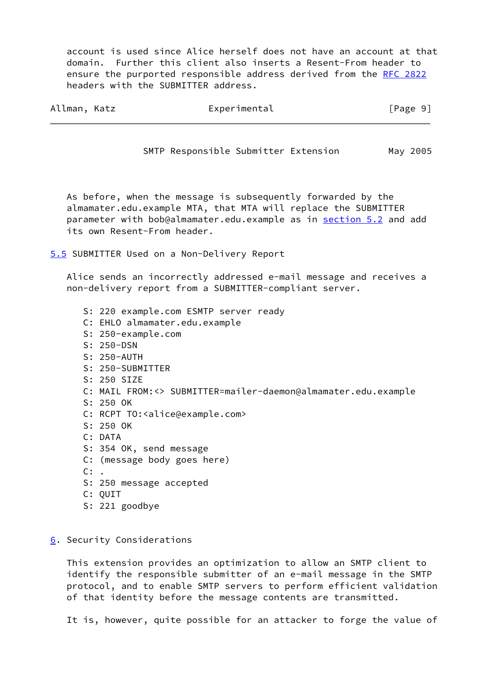account is used since Alice herself does not have an account at that domain. Further this client also inserts a Resent-From header to ensure the purported responsible address derived from the [RFC 2822](https://datatracker.ietf.org/doc/pdf/rfc2822) headers with the SUBMITTER address.

<span id="page-10-1"></span>

| Allman, Katz | Experimental | [Page 9] |  |
|--------------|--------------|----------|--|
|              |              |          |  |

SMTP Responsible Submitter Extension May 2005

 As before, when the message is subsequently forwarded by the almamater.edu.example MTA, that MTA will replace the SUBMITTER parameter with bob@almamater.edu.example as in [section 5.2](#page-6-2) and add its own Resent-From header.

<span id="page-10-0"></span>[5.5](#page-10-0) SUBMITTER Used on a Non-Delivery Report

 Alice sends an incorrectly addressed e-mail message and receives a non-delivery report from a SUBMITTER-compliant server.

- S: 220 example.com ESMTP server ready C: EHLO almamater.edu.example S: 250-example.com S: 250-DSN S: 250-AUTH S: 250-SUBMITTER S: 250 SIZE C: MAIL FROM:<> SUBMITTER=mailer-daemon@almamater.edu.example S: 250 OK C: RCPT TO:<alice@example.com> S: 250 OK C: DATA S: 354 OK, send message C: (message body goes here)  $C:$ . S: 250 message accepted C: QUIT
- S: 221 goodbye
- <span id="page-10-2"></span>[6](#page-10-2). Security Considerations

 This extension provides an optimization to allow an SMTP client to identify the responsible submitter of an e-mail message in the SMTP protocol, and to enable SMTP servers to perform efficient validation of that identity before the message contents are transmitted.

It is, however, quite possible for an attacker to forge the value of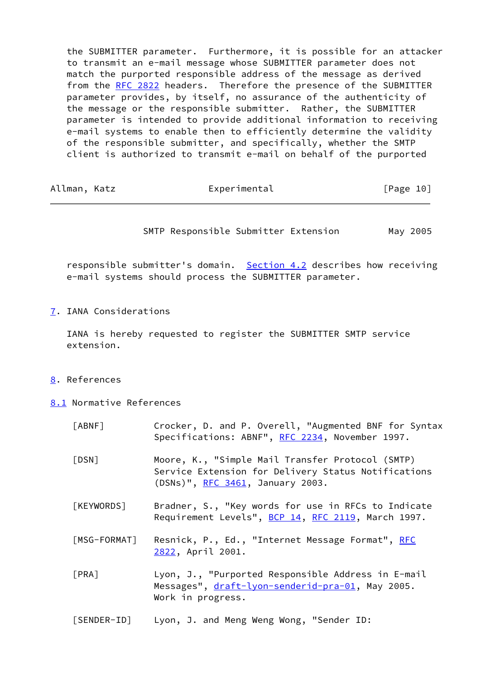the SUBMITTER parameter. Furthermore, it is possible for an attacker to transmit an e-mail message whose SUBMITTER parameter does not match the purported responsible address of the message as derived from the [RFC 2822](https://datatracker.ietf.org/doc/pdf/rfc2822) headers. Therefore the presence of the SUBMITTER parameter provides, by itself, no assurance of the authenticity of the message or the responsible submitter. Rather, the SUBMITTER parameter is intended to provide additional information to receiving e-mail systems to enable then to efficiently determine the validity of the responsible submitter, and specifically, whether the SMTP client is authorized to transmit e-mail on behalf of the purported

<span id="page-11-2"></span>

| Allman, Katz | Experimental | [Page 10] |
|--------------|--------------|-----------|
|--------------|--------------|-----------|

SMTP Responsible Submitter Extension May 2005

responsible submitter's domain. [Section 4.2](#page-4-3) describes how receiving e-mail systems should process the SUBMITTER parameter.

<span id="page-11-1"></span>[7](#page-11-1). IANA Considerations

 IANA is hereby requested to register the SUBMITTER SMTP service extension.

- <span id="page-11-3"></span>[8](#page-11-3). References
- <span id="page-11-4"></span>[8.1](#page-11-4) Normative References

<span id="page-11-9"></span><span id="page-11-8"></span><span id="page-11-7"></span><span id="page-11-6"></span><span id="page-11-5"></span><span id="page-11-0"></span>

| $\lceil ABNF \rceil$  | Crocker, D. and P. Overell, "Augmented BNF for Syntax<br>Specifications: ABNF", RFC 2234, November 1997.                                    |
|-----------------------|---------------------------------------------------------------------------------------------------------------------------------------------|
| $\lceil$ DSN $\rceil$ | Moore, K., "Simple Mail Transfer Protocol (SMTP)<br>Service Extension for Delivery Status Notifications<br>(DSNs)", RFC 3461, January 2003. |
| [KEYWORDS]            | Bradner, S., "Key words for use in RFCs to Indicate<br>Requirement Levels", BCP 14, RFC 2119, March 1997.                                   |
| [MSG-FORMAT]          | Resnick, P., Ed., "Internet Message Format", RFC<br>2822, April 2001.                                                                       |
| [PRA]                 | Lyon, J., "Purported Responsible Address in E-mail<br>Messages", draft-lyon-senderid-pra-01, May 2005.<br>Work in progress.                 |
| [SENDER-ID]           | Lyon, J. and Meng Weng Wong, "Sender ID:                                                                                                    |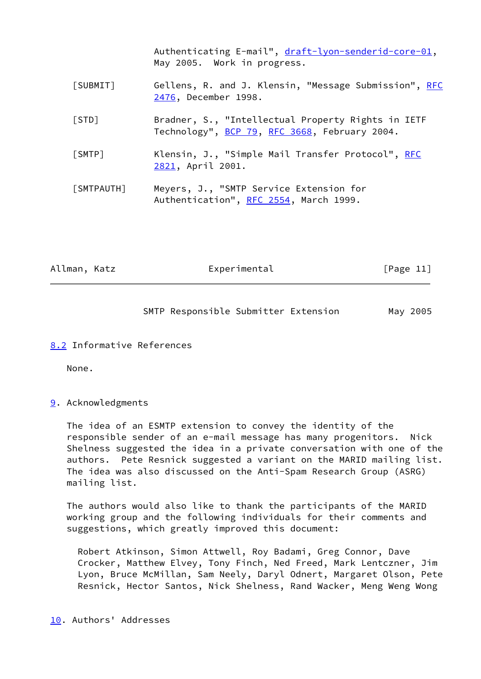<span id="page-12-5"></span><span id="page-12-4"></span>

|            | Authenticating E-mail", draft-lyon-senderid-core-01,<br>May 2005. Work in progress.                 |
|------------|-----------------------------------------------------------------------------------------------------|
| [SUBMIT]   | Gellens, R. and J. Klensin, "Message Submission", RFC<br>2476, December 1998.                       |
| [STD]      | Bradner, S., "Intellectual Property Rights in IETF<br>Technology", BCP 79, RFC 3668, February 2004. |
| [SMTP]     | Klensin, J., "Simple Mail Transfer Protocol", RFC<br>2821, April 2001.                              |
| [SMTPAUTH] | Meyers, J., "SMTP Service Extension for<br>Authentication", RFC 2554, March 1999.                   |

<span id="page-12-6"></span><span id="page-12-1"></span>Allman, Katz **Experimental** Experimental [Page 11]

SMTP Responsible Submitter Extension May 2005

## <span id="page-12-0"></span>[8.2](#page-12-0) Informative References

None.

## <span id="page-12-2"></span>[9](#page-12-2). Acknowledgments

 The idea of an ESMTP extension to convey the identity of the responsible sender of an e-mail message has many progenitors. Nick Shelness suggested the idea in a private conversation with one of the authors. Pete Resnick suggested a variant on the MARID mailing list. The idea was also discussed on the Anti-Spam Research Group (ASRG) mailing list.

 The authors would also like to thank the participants of the MARID working group and the following individuals for their comments and suggestions, which greatly improved this document:

<span id="page-12-3"></span> Robert Atkinson, Simon Attwell, Roy Badami, Greg Connor, Dave Crocker, Matthew Elvey, Tony Finch, Ned Freed, Mark Lentczner, Jim Lyon, Bruce McMillan, Sam Neely, Daryl Odnert, Margaret Olson, Pete Resnick, Hector Santos, Nick Shelness, Rand Wacker, Meng Weng Wong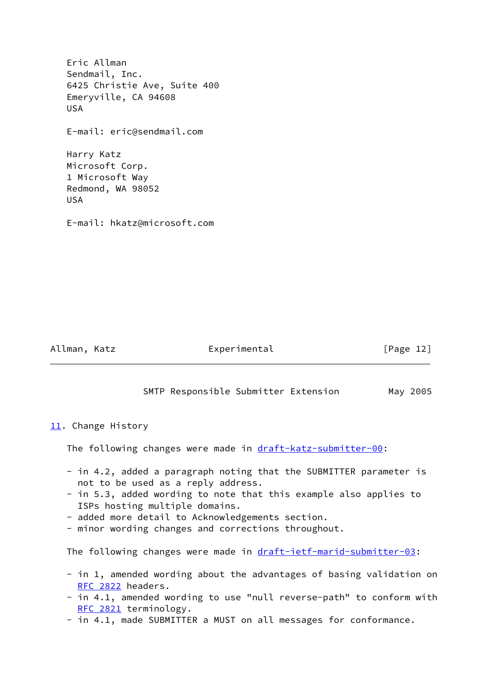| Eric Allman<br>Sendmail, Inc.<br>6425 Christie Ave, Suite 400<br>Emeryville, CA 94608<br>USA. |
|-----------------------------------------------------------------------------------------------|
| E-mail: eric@sendmail.com                                                                     |
| Harry Katz<br>Microsoft Corp.<br>1 Microsoft Way<br>Redmond, WA 98052<br><b>USA</b>           |
| E-mail: hkatz@microsoft.com                                                                   |
|                                                                                               |

<span id="page-13-1"></span>Allman, Katz **Experimental** Experimental [Page 12]

SMTP Responsible Submitter Extension May 2005

<span id="page-13-0"></span>[11.](#page-13-0) Change History

The following changes were made in [draft-katz-submitter-00](https://datatracker.ietf.org/doc/pdf/draft-katz-submitter-00):

- in 4.2, added a paragraph noting that the SUBMITTER parameter is not to be used as a reply address.
- in 5.3, added wording to note that this example also applies to ISPs hosting multiple domains.
- added more detail to Acknowledgements section.
- minor wording changes and corrections throughout.

The following changes were made in [draft-ietf-marid-submitter-03:](https://datatracker.ietf.org/doc/pdf/draft-ietf-marid-submitter-03)

- in 1, amended wording about the advantages of basing validation on [RFC 2822](https://datatracker.ietf.org/doc/pdf/rfc2822) headers.
- in 4.1, amended wording to use "null reverse-path" to conform with [RFC 2821](https://datatracker.ietf.org/doc/pdf/rfc2821) terminology.
- in 4.1, made SUBMITTER a MUST on all messages for conformance.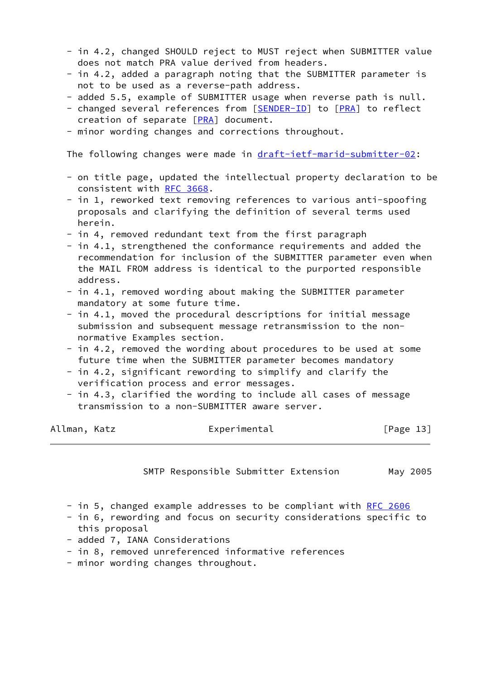- in 4.2, changed SHOULD reject to MUST reject when SUBMITTER value does not match PRA value derived from headers.
- in 4.2, added a paragraph noting that the SUBMITTER parameter is not to be used as a reverse-path address.
- added 5.5, example of SUBMITTER usage when reverse path is null.
- changed several references from [[SENDER-ID\]](#page-11-9) to [\[PRA](#page-11-8)] to reflect creation of separate [\[PRA](#page-11-8)] document.
- minor wording changes and corrections throughout.

The following changes were made in [draft-ietf-marid-submitter-02:](https://datatracker.ietf.org/doc/pdf/draft-ietf-marid-submitter-02)

- on title page, updated the intellectual property declaration to be consistent with [RFC 3668](https://datatracker.ietf.org/doc/pdf/rfc3668).
- in 1, reworked text removing references to various anti-spoofing proposals and clarifying the definition of several terms used herein.
- in 4, removed redundant text from the first paragraph
- in 4.1, strengthened the conformance requirements and added the recommendation for inclusion of the SUBMITTER parameter even when the MAIL FROM address is identical to the purported responsible address.
- in 4.1, removed wording about making the SUBMITTER parameter mandatory at some future time.
- in 4.1, moved the procedural descriptions for initial message submission and subsequent message retransmission to the non normative Examples section.
- in 4.2, removed the wording about procedures to be used at some future time when the SUBMITTER parameter becomes mandatory
- in 4.2, significant rewording to simplify and clarify the verification process and error messages.
- in 4.3, clarified the wording to include all cases of message transmission to a non-SUBMITTER aware server.

| Allman, Katz | Experimental | [Page 13] |
|--------------|--------------|-----------|
|--------------|--------------|-----------|

SMTP Responsible Submitter Extension May 2005

- in 5, changed example addresses to be compliant with [RFC 2606](https://datatracker.ietf.org/doc/pdf/rfc2606)
- in 6, rewording and focus on security considerations specific to this proposal
- added 7, IANA Considerations
- in 8, removed unreferenced informative references
- minor wording changes throughout.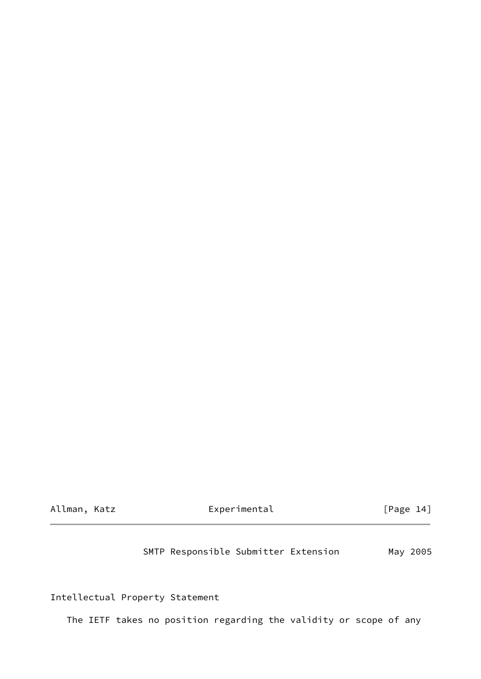| Allman, | Katz |
|---------|------|
|---------|------|

Experimental [Page 14]

SMTP Responsible Submitter Extension May 2005

Intellectual Property Statement

The IETF takes no position regarding the validity or scope of any